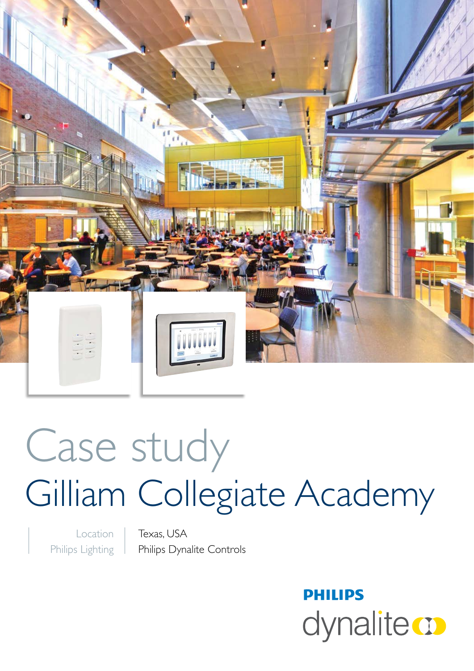

# Case study Gilliam Collegiate Academy

Location Philips Lighting

Texas, USA Philips Dynalite Controls

> **PHILIPS** dynalite **o**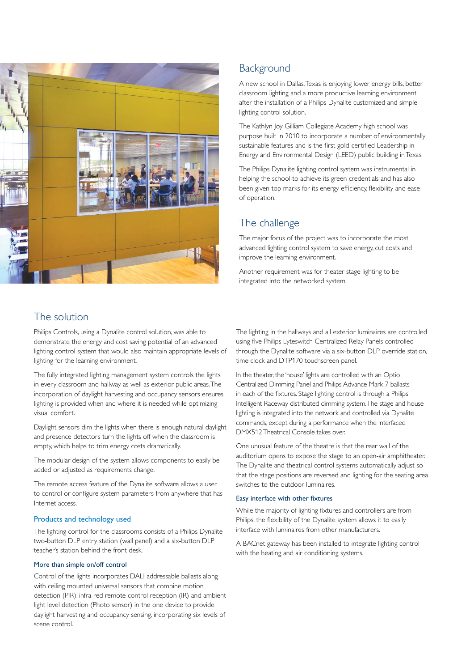

## **Background**

A new school in Dallas, Texas is enjoying lower energy bills, better classroom lighting and a more productive learning environment after the installation of a Philips Dynalite customized and simple lighting control solution.

The Kathlyn Joy Gilliam Collegiate Academy high school was purpose built in 2010 to incorporate a number of environmentally sustainable features and is the first gold-certified Leadership in Energy and Environmental Design (LEED) public building in Texas.

The Philips Dynalite lighting control system was instrumental in helping the school to achieve its green credentials and has also been given top marks for its energy efficiency, flexibility and ease of operation.

## The challenge

The major focus of the project was to incorporate the most advanced lighting control system to save energy, cut costs and improve the learning environment.

Another requirement was for theater stage lighting to be integrated into the networked system.

## The solution

Philips Controls, using a Dynalite control solution, was able to demonstrate the energy and cost saving potential of an advanced lighting control system that would also maintain appropriate levels of lighting for the learning environment.

The fully integrated lighting management system controls the lights in every classroom and hallway as well as exterior public areas. The incorporation of daylight harvesting and occupancy sensors ensures lighting is provided when and where it is needed while optimizing visual comfort.

Daylight sensors dim the lights when there is enough natural daylight and presence detectors turn the lights off when the classroom is empty, which helps to trim energy costs dramatically.

The modular design of the system allows components to easily be added or adjusted as requirements change.

The remote access feature of the Dynalite software allows a user to control or configure system parameters from anywhere that has Internet access.

#### Products and technology used

The lighting control for the classrooms consists of a Philips Dynalite two-button DLP entry station (wall panel) and a six-button DLP teacher's station behind the front desk.

#### More than simple on/off control

Control of the lights incorporates DALI addressable ballasts along with ceiling mounted universal sensors that combine motion detection (PIR), infra-red remote control reception (IR) and ambient light level detection (Photo sensor) in the one device to provide daylight harvesting and occupancy sensing, incorporating six levels of scene control.

The lighting in the hallways and all exterior luminaires are controlled using five Philips Lyteswitch Centralized Relay Panels controlled through the Dynalite software via a six-button DLP override station, time clock and DTP170 touchscreen panel.

In the theater, the 'house' lights are controlled with an Optio Centralized Dimming Panel and Philips Advance Mark 7 ballasts in each of the fixtures. Stage lighting control is through a Philips Intelligent Raceway distributed dimming system. The stage and house lighting is integrated into the network and controlled via Dynalite commands, except during a performance when the interfaced DMX512 Theatrical Console takes over.

One unusual feature of the theatre is that the rear wall of the auditorium opens to expose the stage to an open-air amphitheater. The Dynalite and theatrical control systems automatically adjust so that the stage positions are reversed and lighting for the seating area switches to the outdoor luminaires.

#### Easy interface with other fixtures

While the majority of lighting fixtures and controllers are from Philips, the flexibility of the Dynalite system allows it to easily interface with luminaires from other manufacturers.

A BACnet gateway has been installed to integrate lighting control with the heating and air conditioning systems.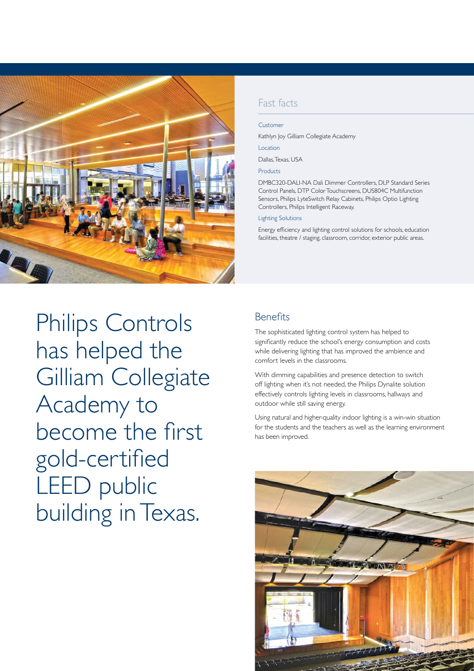

Philips Controls has helped the Gilliam Collegiate Academy to become the first gold-certified LEED public building in Texas.

## Fast facts

Customer

Kathlyn Joy Gilliam Collegiate Academy

Location

Dallas, Texas, USA

Products

DMBC320-DALI-NA Dali Dimmer Controllers, DLP Standard Series Control Panels, DTP Color Touchscreens, DUS804C Multifunction Sensors, Philips LyteSwitch Relay Cabinets, Philips Optio Lighting Controllers, Philips Intelligent Raceway.

#### Lighting Solutions

Energy efficiency and lighting control solutions for schools, education facilities, theatre / staging, classroom, corridor, exterior public areas.

## Benefits

The sophisticated lighting control system has helped to significantly reduce the school's energy consumption and costs while delivering lighting that has improved the ambience and comfort levels in the classrooms.

With dimming capabilities and presence detection to switch off lighting when it's not needed, the Philips Dynalite solution effectively controls lighting levels in classrooms, hallways and outdoor while still saving energy.

Using natural and higher-quality indoor lighting is a win-win situation for the students and the teachers as well as the learning environment has been improved.